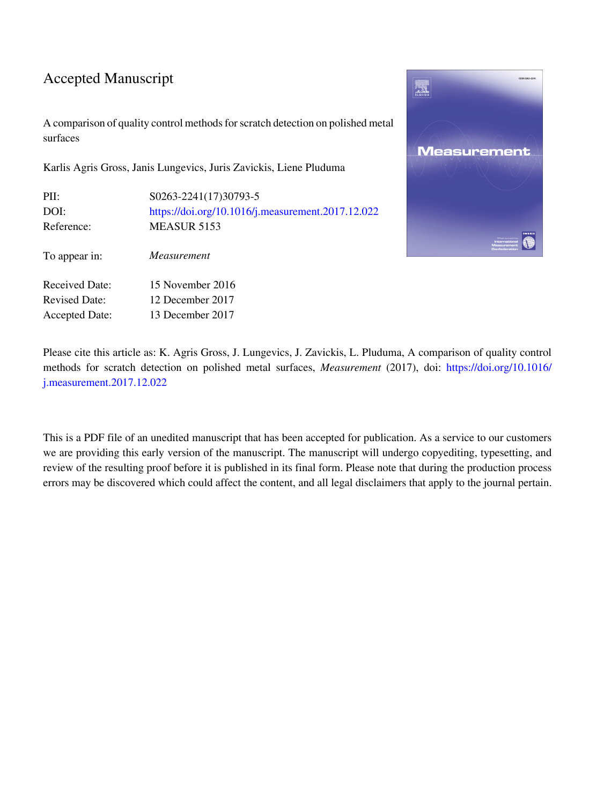## Accepted Manuscript

A comparison of quality control methods for scratch detection on polished metal surfaces

Karlis Agris Gross, Janis Lungevics, Juris Zavickis, Liene Pluduma

| PII:                  | S0263-2241(17)30793-5                             |
|-----------------------|---------------------------------------------------|
| DOI:                  | https://doi.org/10.1016/j.measurement.2017.12.022 |
| Reference:            | MEASUR 5153                                       |
| To appear in:         | Measurement                                       |
| <b>Received Date:</b> | 15 November 2016                                  |
| <b>Revised Date:</b>  | 12 December 2017                                  |
| <b>Accepted Date:</b> | 13 December 2017                                  |
|                       |                                                   |



Please cite this article as: K. Agris Gross, J. Lungevics, J. Zavickis, L. Pluduma, A comparison of quality control methods for scratch detection on polished metal surfaces, *Measurement* (2017), doi: [https://doi.org/10.1016/](https://doi.org/10.1016/j.measurement.2017.12.022) [j.measurement.2017.12.022](https://doi.org/10.1016/j.measurement.2017.12.022)

This is a PDF file of an unedited manuscript that has been accepted for publication. As a service to our customers we are providing this early version of the manuscript. The manuscript will undergo copyediting, typesetting, and review of the resulting proof before it is published in its final form. Please note that during the production process errors may be discovered which could affect the content, and all legal disclaimers that apply to the journal pertain.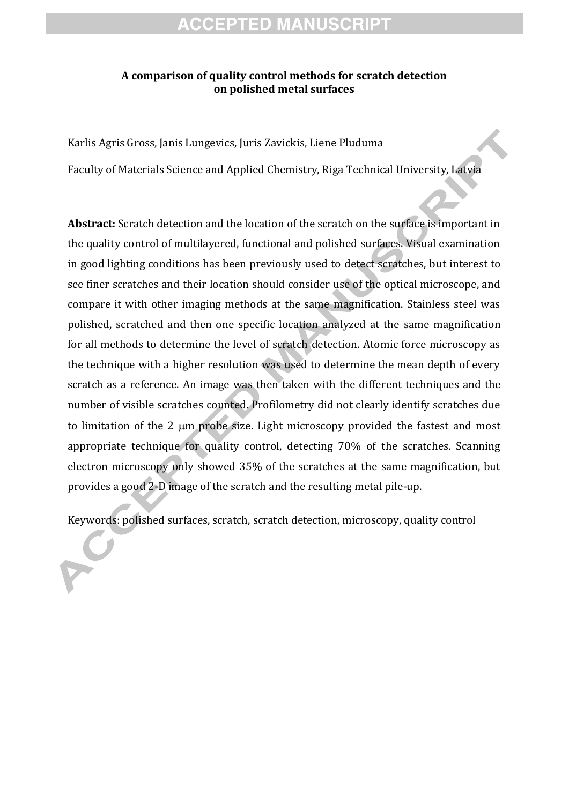## **ACCEPTED MANUSCRIPT**

## **A comparison of quality control methods for scratch detection on polished metal surfaces**

Karlis Agris Gross, Janis Lungevics, Juris Zavickis, Liene Pluduma Faculty of Materials Science and Applied Chemistry, Riga Technical University, Latvia

**Abstract:** Scratch detection and the location of the scratch on the surface is important in the quality control of multilayered, functional and polished surfaces. Visual examination in good lighting conditions has been previously used to detect scratches, but interest to see finer scratches and their location should consider use of the optical microscope, and compare it with other imaging methods at the same magnification. Stainless steel was polished, scratched and then one specific location analyzed at the same magnification for all methods to determine the level of scratch detection. Atomic force microscopy as the technique with a higher resolution was used to determine the mean depth of every scratch as a reference. An image was then taken with the different techniques and the number of visible scratches counted. Profilometry did not clearly identify scratches due to limitation of the 2  $\mu$ m probe size. Light microscopy provided the fastest and most appropriate technique for quality control, detecting 70% of the scratches. Scanning electron microscopy only showed 35% of the scratches at the same magnification, but provides a good 2-D image of the scratch and the resulting metal pile-up.

Keywords: polished surfaces, scratch, scratch detection, microscopy, quality control